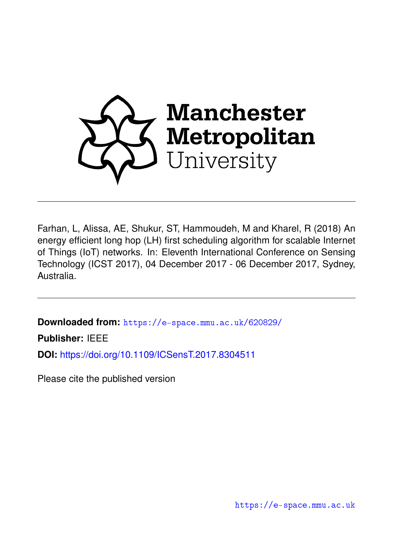

Farhan, L, Alissa, AE, Shukur, ST, Hammoudeh, M and Kharel, R (2018) An energy efficient long hop (LH) first scheduling algorithm for scalable Internet of Things (IoT) networks. In: Eleventh International Conference on Sensing Technology (ICST 2017), 04 December 2017 - 06 December 2017, Sydney, Australia.

**Downloaded from:** <https://e-space.mmu.ac.uk/620829/>

**Publisher:** IEEE

**DOI:** <https://doi.org/10.1109/ICSensT.2017.8304511>

Please cite the published version

<https://e-space.mmu.ac.uk>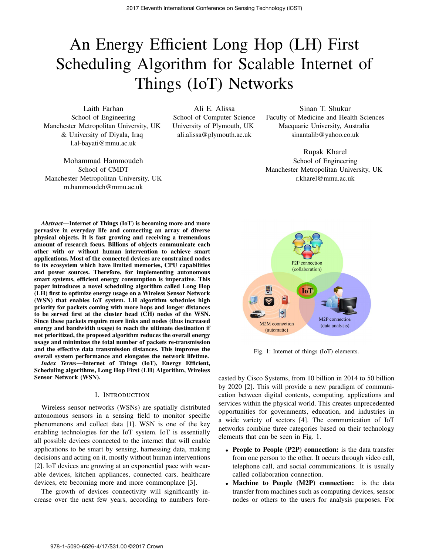# An Energy Efficient Long Hop (LH) First Scheduling Algorithm for Scalable Internet of Things (IoT) Networks

Laith Farhan School of Engineering Manchester Metropolitan University, UK & University of Diyala, Iraq l.al-bayati@mmu.ac.uk

Mohammad Hammoudeh School of CMDT Manchester Metropolitan University, UK m.hammoudeh@mmu.ac.uk

Ali E. Alissa School of Computer Science University of Plymouth, UK ali.alissa@plymouth.ac.uk

Sinan T. Shukur Faculty of Medicine and Health Sciences Macquarie University, Australia sinantalib@yahoo.co.uk

Rupak Kharel School of Engineering Manchester Metropolitan University, UK r.kharel@mmu.ac.uk

*Abstract*—Internet of Things (IoT) is becoming more and more pervasive in everyday life and connecting an array of diverse physical objects. It is fast growing and receiving a tremendous amount of research focus. Billions of objects communicate each other with or without human intervention to achieve smart applications. Most of the connected devices are constrained nodes to its ecosystem which have limited memories, CPU capabilities and power sources. Therefore, for implementing autonomous smart systems, efficient energy consumption is imperative. This paper introduces a novel scheduling algorithm called Long Hop (LH) first to optimize energy usage on a Wireless Sensor Network (WSN) that enables IoT system. LH algorithm schedules high priority for packets coming with more hops and longer distances to be served first at the cluster head (CH) nodes of the WSN. Since these packets require more links and nodes (thus increased energy and bandwidth usage) to reach the ultimate destination if not prioritized, the proposed algorithm reduces the overall energy usage and minimizes the total number of packets re-transmission and the effective data transmission distances. This improves the overall system performance and elongates the network lifetime.

*Index Terms*—Internet of Things (IoT), Energy Efficient, Scheduling algorithms, Long Hop First (LH) Algorithm, Wireless Sensor Network (WSN).

#### I. INTRODUCTION

Wireless sensor networks (WSNs) are spatially distributed autonomous sensors in a sensing field to monitor specific phenomenons and collect data [1]. WSN is one of the key enabling technologies for the IoT system. IoT is essentially all possible devices connected to the internet that will enable applications to be smart by sensing, harnessing data, making decisions and acting on it, mostly without human interventions [2]. IoT devices are growing at an exponential pace with wearable devices, kitchen appliances, connected cars, healthcare devices, etc becoming more and more commonplace [3].

The growth of devices connectivity will significantly increase over the next few years, according to numbers fore-



Fig. 1: Internet of things (IoT) elements.

casted by Cisco Systems, from 10 billion in 2014 to 50 billion by 2020 [2]. This will provide a new paradigm of communication between digital contents, computing, applications and services within the physical world. This creates unprecedented opportunities for governments, education, and industries in a wide variety of sectors [4]. The communication of IoT networks combine three categories based on their technology elements that can be seen in Fig. 1.

- People to People (P2P) connection: is the data transfer from one person to the other. It occurs through video call, telephone call, and social communications. It is usually called collaboration connection.
- Machine to People (M2P) connection: is the data transfer from machines such as computing devices, sensor nodes or others to the users for analysis purposes. For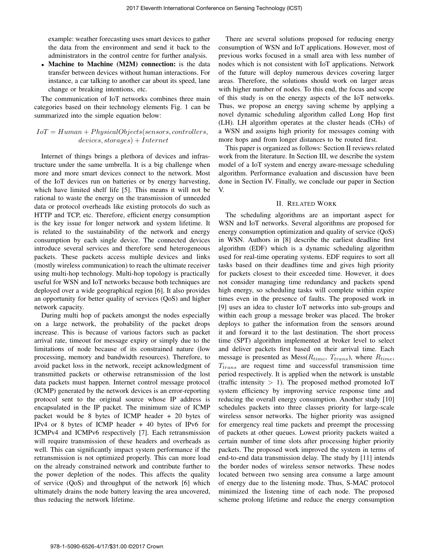example: weather forecasting uses smart devices to gather the data from the environment and send it back to the administrators in the control centre for further analysis.

• Machine to Machine (M2M) connection: is the data transfer between devices without human interactions. For instance, a car talking to another car about its speed, lane change or breaking intentions, etc.

The communication of IoT networks combines three main categories based on their technology elements Fig. 1 can be summarized into the simple equation below:

## *IoT* = *Human* + *P hysicalObjects*(*sensors, controllers, devices, storages*) + *Internet*

Internet of things brings a plethora of devices and infrastructure under the same umbrella. It is a big challenge when more and more smart devices connect to the network. Most of the IoT devices run on batteries or by energy harvesting, which have limited shelf life [5]. This means it will not be rational to waste the energy on the transmission of unneeded data or protocol overheads like existing protocols do such as HTTP and TCP, etc. Therefore, efficient energy consumption is the key issue for longer network and system lifetime. It is related to the sustainability of the network and energy consumption by each single device. The connected devices introduce several services and therefore send heterogeneous packets. These packets access multiple devices and links (mostly wireless communication) to reach the ultimate receiver using multi-hop technology. Multi-hop topology is practically useful for WSN and IoT networks because both techniques are deployed over a wide geographical region [6]. It also provides an opportunity for better quality of services (QoS) and higher network capacity.

During multi hop of packets amongst the nodes especially on a large network, the probability of the packet drops increase. This is because of various factors such as packet arrival rate, timeout for message expiry or simply due to the limitations of node because of its constrained nature (low processing, memory and bandwidth resources). Therefore, to avoid packet loss in the network, receipt acknowledgment of transmitted packets or otherwise retransmission of the lost data packets must happen. Internet control message protocol (ICMP) generated by the network devices is an error-reporting protocol sent to the original source whose IP address is encapsulated in the IP packet. The minimum size of ICMP packet would be 8 bytes of ICMP header + 20 bytes of IPv4 or 8 bytes of ICMP header + 40 bytes of IPv6 for ICMPv4 and ICMPv6 respectively [7]. Each retransmission will require transmission of these headers and overheads as well. This can significantly impact system performance if the retransmission is not optimized properly. This can more load on the already constrained network and contribute further to the power depletion of the nodes. This affects the quality of service (QoS) and throughput of the network [6] which ultimately drains the node battery leaving the area uncovered, thus reducing the network lifetime.

There are several solutions proposed for reducing energy consumption of WSN and IoT applications. However, most of previous works focused in a small area with less number of nodes which is not consistent with IoT applications. Network of the future will deploy numerous devices covering larger areas. Therefore, the solutions should work on larger areas with higher number of nodes. To this end, the focus and scope of this study is on the energy aspects of the IoT networks. Thus, we propose an energy saving scheme by applying a novel dynamic scheduling algorithm called Long Hop first (LH). LH algorithm operates at the cluster heads (CHs) of a WSN and assigns high priority for messages coming with more hops and from longer distances to be routed first.

This paper is organized as follows: Section II reviews related work from the literature. In Section III, we describe the system model of a IoT system and energy aware-message scheduling algorithm. Performance evaluation and discussion have been done in Section IV. Finally, we conclude our paper in Section V.

## II. RELATED WORK

The scheduling algorithms are an important aspect for WSN and IoT networks. Several algorithms are proposed for energy consumption optimization and quality of service (QoS) in WSN. Authors in [8] describe the earliest deadline first algorithm (EDF) which is a dynamic scheduling algorithm used for real-time operating systems. EDF requires to sort all tasks based on their deadlines time and gives high priority for packets closest to their exceeded time. However, it does not consider managing time redundancy and packets spend high energy, so scheduling tasks will complete within expire times even in the presence of faults. The proposed work in [9] uses an idea to cluster IoT networks into sub-groups and within each group a message broker was placed. The broker deploys to gather the information from the sensors around it and forward it to the last destination. The short process time (SPT) algorithm implemented at broker level to select and deliver packets first based on their arrival time. Each message is presented as Mess(*R*time, *T*trans), where *R*time, *T*trans are request time and successful transmission time period respectively. It is applied when the network is unstable (traffic intensity *>* 1). The proposed method promoted IoT system efficiency by improving service response time and reducing the overall energy consumption. Another study [10] schedules packets into three classes priority for large-scale wireless sensor networks. The higher priority was assigned for emergency real time packets and preempt the processing of packets at other queues. Lowest priority packets waited a certain number of time slots after processing higher priority packets. The proposed work improved the system in terms of end-to-end data transmission delay. The study by [11] intends the border nodes of wireless sensor networks. These nodes located between two sensing area consume a large amount of energy due to the listening mode. Thus, S-MAC protocol minimized the listening time of each node. The proposed scheme prolong lifetime and reduce the energy consumption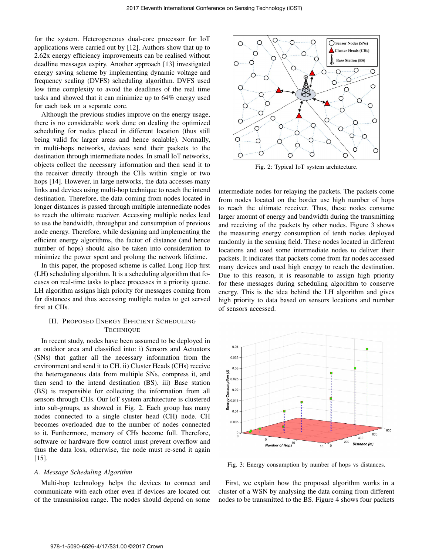for the system. Heterogeneous dual-core processor for IoT applications were carried out by [12]. Authors show that up to 2.62x energy efficiency improvements can be realised without deadline messages expiry. Another approach [13] investigated energy saving scheme by implementing dynamic voltage and frequency scaling (DVFS) scheduling algorithm. DVFS used low time complexity to avoid the deadlines of the real time tasks and showed that it can minimize up to 64% energy used for each task on a separate core.

Although the previous studies improve on the energy usage, there is no considerable work done on dealing the optimized scheduling for nodes placed in different location (thus still being valid for larger areas and hence scalable). Normally, in multi-hops networks, devices send their packets to the destination through intermediate nodes. In small IoT networks, objects collect the necessary information and then send it to the receiver directly through the CHs within single or two hops [14]. However, in large networks, the data accesses many links and devices using multi-hop technique to reach the intend destination. Therefore, the data coming from nodes located in longer distances is passed through multiple intermediate nodes to reach the ultimate receiver. Accessing multiple nodes lead to use the bandwidth, throughput and consumption of previous node energy. Therefore, while designing and implementing the efficient energy algorithms, the factor of distance (and hence number of hops) should also be taken into consideration to minimize the power spent and prolong the network lifetime.

In this paper, the proposed scheme is called Long Hop first (LH) scheduling algorithm. It is a scheduling algorithm that focuses on real-time tasks to place processes in a priority queue. LH algorithm assigns high priority for messages coming from far distances and thus accessing multiple nodes to get served first at CHs.

## III. PROPOSED ENERGY EFFICIENT SCHEDULING **TECHNIQUE**

In recent study, nodes have been assumed to be deployed in an outdoor area and classified into: i) Sensors and Actuators (SNs) that gather all the necessary information from the environment and send it to CH. ii) Cluster Heads (CHs) receive the heterogeneous data from multiple SNs, compress it, and then send to the intend destination (BS). iii) Base station (BS) is responsible for collecting the information from all sensors through CHs. Our IoT system architecture is clustered into sub-groups, as showed in Fig. 2. Each group has many nodes connected to a single cluster head (CH) node. CH becomes overloaded due to the number of nodes connected to it. Furthermore, memory of CHs become full. Therefore, software or hardware flow control must prevent overflow and thus the data loss, otherwise, the node must re-send it again [15].

## *A. Message Scheduling Algorithm*

Multi-hop technology helps the devices to connect and communicate with each other even if devices are located out of the transmission range. The nodes should depend on some



Fig. 2: Typical IoT system architecture.

intermediate nodes for relaying the packets. The packets come from nodes located on the border use high number of hops to reach the ultimate receiver. Thus, these nodes consume larger amount of energy and bandwidth during the transmitting and receiving of the packets by other nodes. Figure 3 shows the measuring energy consumption of tenth nodes deployed randomly in the sensing field. These nodes located in different locations and used some intermediate nodes to deliver their packets. It indicates that packets come from far nodes accessed many devices and used high energy to reach the destination. Due to this reason, it is reasonable to assign high priority for these messages during scheduling algorithm to conserve energy. This is the idea behind the LH algorithm and gives high priority to data based on sensors locations and number of sensors accessed.



Fig. 3: Energy consumption by number of hops vs distances.

First, we explain how the proposed algorithm works in a cluster of a WSN by analysing the data coming from different nodes to be transmitted to the BS. Figure 4 shows four packets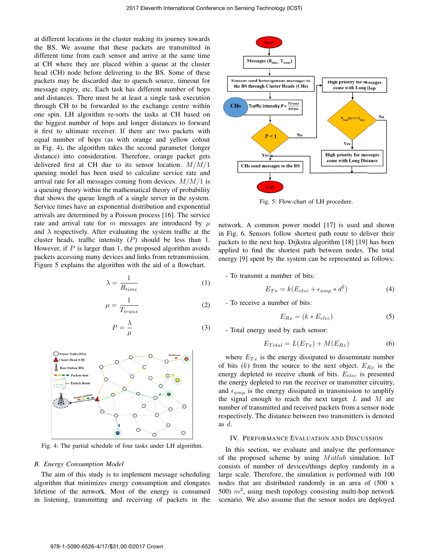at different locations in the cluster making its journey towards the BS. We assume that these packets are transmitted in different time from each sensor and arrive at the same time at CH where they are placed within a queue at the cluster head (CH) node before delivering to the BS. Some of these packets may be discarded due to quench source, timeout for message expiry, etc. Each task has different number of hops and distances. There must be at least a single task execution through CH to be forwarded to the exchange centre within one spin. LH algorithm re-sorts the tasks at CH based on the biggest number of hops and longer distances to forward it first to ultimate receiver. If there are two packets with equal number of hops (as with orange and yellow colour in Fig. 4), the algorithm takes the second parameter (longer distance) into consideration. Therefore, orange packet gets delivered first at CH due to its sensor location. *M/M/*1 queuing model has been used to calculate service rate and arrival rate for all messages coming from devices. *M/M/*1 is a queuing theory within the mathematical theory of probability that shows the queue length of a single server in the system. Service times have an exponential distribution and exponential arrivals are determined by a Poisson process [16]. The service rate and arrival rate for *m* messages are introduced by *μ* and  $\lambda$  respectively. After evaluating the system traffic at the cluster heads, traffic intensity (*P*) should be less than 1. However, if *P* is larger than 1, the proposed algorithm avoids packets accessing many devices and links from retransmission. Figure 5 explains the algorithm with the aid of a flowchart.

$$
\lambda = \frac{1}{R_{time}}\tag{1}
$$

$$
\mu = \frac{1}{T_{trans}}\tag{2}
$$

$$
P = \frac{\lambda}{\mu} \tag{3}
$$



Fig. 4: The partial schedule of four tasks under LH algorithm.

#### *B. Energy Consumption Model*

The aim of this study is to implement message scheduling algorithm that minimizes energy consumption and elongates lifetime of the network. Most of the energy is consumed in listening, transmitting and receiving of packets in the



Fig. 5: Flow-chart of LH procedure.

network. A common power model [17] is used and shown in Fig. 6. Sensors follow shortest path route to deliver their packets to the next hop. Dijkstra algorithm [18] [19] has been applied to find the shortest path between nodes. The total energy [9] spent by the system can be represented as follows:

- To transmit a number of bits:

$$
E_{Tx} = k(E_{elec} + \epsilon_{amp} * d^2)
$$
 (4)

- To receive a number of bits:

$$
E_{Rx} = (k * E_{elec}) \tag{5}
$$

- Total energy used by each sensor:

$$
E_{Total} = L(E_{Tx}) + M(E_{Rx})
$$
\n(6)

where  $E_{Tx}$  is the energy dissipated to disseminate number of bits  $(k)$  from the source to the next object.  $E_{Rx}$  is the energy depleted to receive chunk of bits.  $E_{elec}$  is presented the energy depleted to run the receiver or transmitter circuitry, and  $\epsilon_{amp}$  is the energy dissipated in transmission to amplify the signal enough to reach the next target. *L* and *M* are number of transmitted and received packets from a sensor node respectively. The distance between two transmitters is denoted as *d*.

## IV. PERFORMANCE EVALUATION AND DISCUSSION

In this section, we evaluate and analyse the performance of the proposed scheme by using *M atlab* simulation. IoT consists of number of devices/things deploy randomly in a large scale. Therefore, the simulation is performed with 100 nodes that are distributed randomly in an area of (500 x 500)  $m^2$ , using mesh topology consisting multi-hop network scenario. We also assume that the sensor nodes are deployed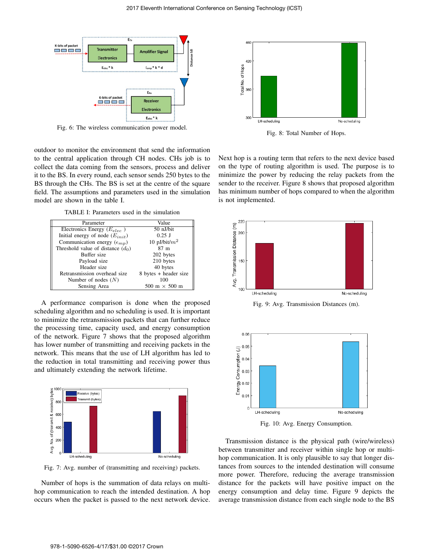

Fig. 6: The wireless communication power model.

outdoor to monitor the environment that send the information to the central application through CH nodes. CHs job is to collect the data coming from the sensors, process and deliver it to the BS. In every round, each sensor sends 250 bytes to the BS through the CHs. The BS is set at the centre of the square field. The assumptions and parameters used in the simulation model are shown in the table I.

TABLE I: Parameters used in the simulation

| Parameter                              | Value                 |
|----------------------------------------|-----------------------|
| Electronics Energy ( $E_{elec}$ )      | 50 nJ/bit             |
| Initial energy of node $(E_{init})$    | $0.25$ J              |
| Communication energy $(\epsilon_{mp})$ | 10 pJ/bit/ $m^2$      |
| Threshold value of distance $(d_0)$    | 87 <sub>m</sub>       |
| Buffer size                            | 202 bytes             |
| Payload size                           | 210 bytes             |
| Header size                            | 40 bytes              |
| Retransmission overhead size           | 8 bytes + header size |
| Number of nodes $(N)$                  | 100                   |
| Sensing Area                           | 500 m $\times$ 500 m  |

A performance comparison is done when the proposed scheduling algorithm and no scheduling is used. It is important to minimize the retransmission packets that can further reduce the processing time, capacity used, and energy consumption of the network. Figure 7 shows that the proposed algorithm has lower number of transmitting and receiving packets in the network. This means that the use of LH algorithm has led to the reduction in total transmitting and receiving power thus and ultimately extending the network lifetime.



Fig. 7: Avg. number of (transmitting and receiving) packets.

Number of hops is the summation of data relays on multihop communication to reach the intended destination. A hop occurs when the packet is passed to the next network device.



Fig. 8: Total Number of Hops.

Next hop is a routing term that refers to the next device based on the type of routing algorithm is used. The purpose is to minimize the power by reducing the relay packets from the sender to the receiver. Figure 8 shows that proposed algorithm has minimum number of hops compared to when the algorithm is not implemented.



Fig. 9: Avg. Transmission Distances (m).



Fig. 10: Avg. Energy Consumption.

Transmission distance is the physical path (wire/wireless) between transmitter and receiver within single hop or multihop communication. It is only plausible to say that longer distances from sources to the intended destination will consume more power. Therefore, reducing the average transmission distance for the packets will have positive impact on the energy consumption and delay time. Figure 9 depicts the average transmission distance from each single node to the BS